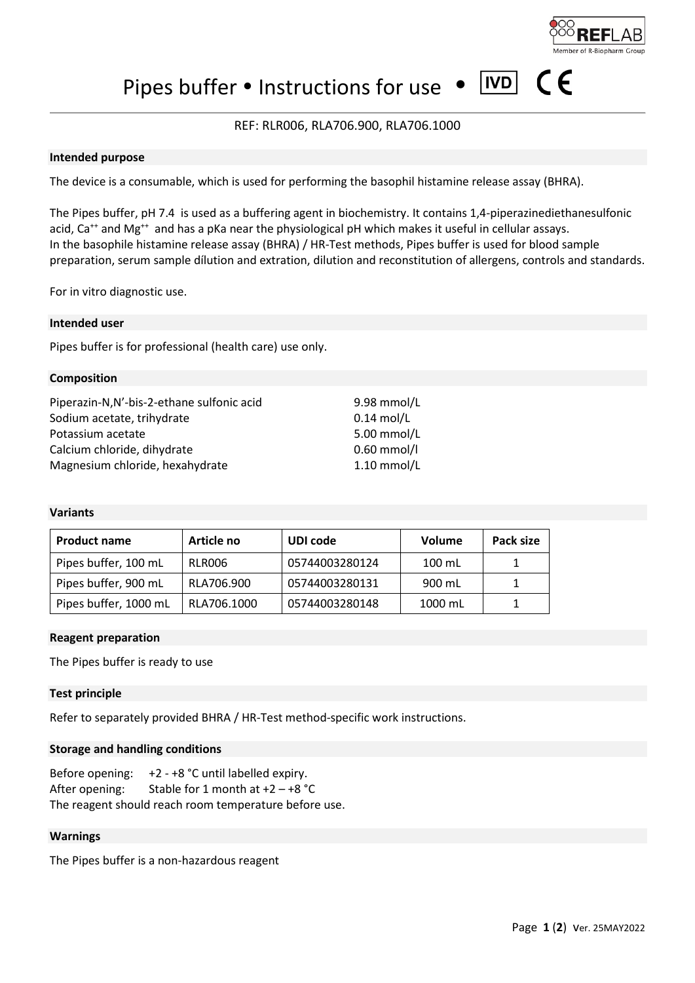

 $|IVD|$ 

Pipes buffer  $\bullet$  Instructions for use  $\bullet$ 

# REF: RLR006, RLA706.900, RLA706.1000

#### **Intended purpose**

The device is a consumable, which is used for performing the basophil histamine release assay (BHRA).

The Pipes buffer, pH 7.4 is used as a buffering agent in biochemistry. It contains 1,4-piperazinediethanesulfonic acid,  $Ca^{++}$  and  $Mg^{++}$  and has a pKa near the physiological pH which makes it useful in cellular assays. In the basophile histamine release assay (BHRA) / HR-Test methods, Pipes buffer is used for blood sample preparation, serum sample dílution and extration, dilution and reconstitution of allergens, controls and standards.

For in vitro diagnostic use.

#### **Intended user**

Pipes buffer is for professional (health care) use only.

#### **Composition**

| Piperazin-N,N'-bis-2-ethane sulfonic acid | 9.98 mmol/L   |
|-------------------------------------------|---------------|
| Sodium acetate, trihydrate                | $0.14$ mol/L  |
| Potassium acetate                         | 5.00 mmol/L   |
| Calcium chloride, dihydrate               | $0.60$ mmol/l |
| Magnesium chloride, hexahydrate           | $1.10$ mmol/L |

### **Variants**

| <b>Product name</b>   | Article no  | UDI code       | Volume   | Pack size |
|-----------------------|-------------|----------------|----------|-----------|
| Pipes buffer, 100 mL  | RLR006      | 05744003280124 | $100$ mL |           |
| Pipes buffer, 900 mL  | RLA706.900  | 05744003280131 | 900 mL   |           |
| Pipes buffer, 1000 mL | RLA706.1000 | 05744003280148 | 1000 mL  |           |

#### **Reagent preparation**

The Pipes buffer is ready to use

#### **Test principle**

Refer to separately provided BHRA / HR-Test method-specific work instructions.

#### **Storage and handling conditions**

Before opening: +2 - +8 °C until labelled expiry. After opening: Stable for 1 month at  $+2 - +8$  °C The reagent should reach room temperature before use.

#### **Warnings**

The Pipes buffer is a non-hazardous reagent